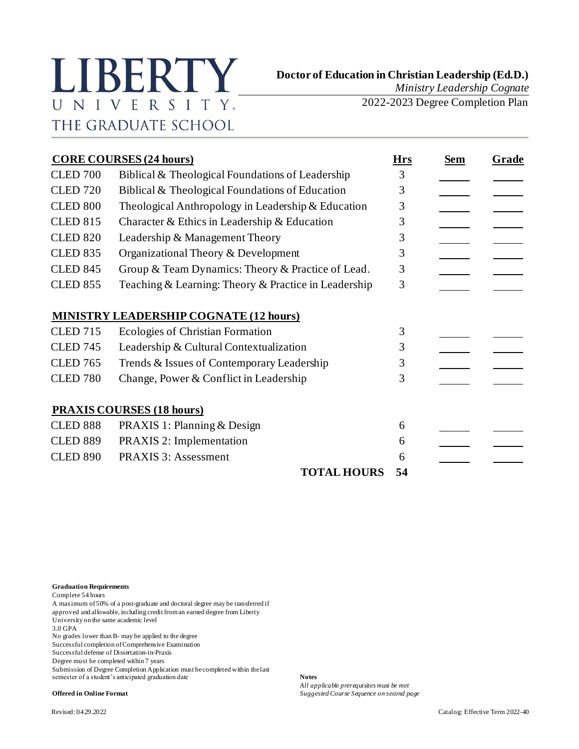## **Doctor of Education in Christian Leadership (Ed.D.)**<br>Ministry Leadership Cognate UNIVERSITY. THE GRADUATE SCHOOL

*Ministry Leadership Cognate*

2022-2023 Degree Completion Plan

| <b>CORE COURSES (24 hours)</b> |                                                      |    | Sem | Grade |
|--------------------------------|------------------------------------------------------|----|-----|-------|
| <b>CLED 700</b>                | Biblical & Theological Foundations of Leadership     | 3  |     |       |
| <b>CLED 720</b>                | Biblical & Theological Foundations of Education      | 3  |     |       |
| <b>CLED 800</b>                | Theological Anthropology in Leadership & Education   | 3  |     |       |
| <b>CLED 815</b>                | Character & Ethics in Leadership & Education         | 3  |     |       |
| <b>CLED 820</b>                | Leadership & Management Theory                       | 3  |     |       |
| <b>CLED 835</b>                | Organizational Theory & Development                  | 3  |     |       |
| <b>CLED 845</b>                | Group & Team Dynamics: Theory & Practice of Lead.    | 3  |     |       |
| <b>CLED 855</b>                | Teaching & Learning: Theory & Practice in Leadership | 3  |     |       |
|                                | <b>MINISTRY LEADERSHIP COGNATE (12 hours)</b>        |    |     |       |
| <b>CLED 715</b>                | Ecologies of Christian Formation                     | 3  |     |       |
| <b>CLED 745</b>                | Leadership & Cultural Contextualization              | 3  |     |       |
| <b>CLED 765</b>                | Trends & Issues of Contemporary Leadership           | 3  |     |       |
| <b>CLED 780</b>                | Change, Power & Conflict in Leadership               | 3  |     |       |
|                                | <b>PRAXIS COURSES (18 hours)</b>                     |    |     |       |
| <b>CLED 888</b>                | PRAXIS 1: Planning & Design                          | 6  |     |       |
| <b>CLED 889</b>                | <b>PRAXIS 2: Implementation</b>                      | 6  |     |       |
| <b>CLED 890</b>                | PRAXIS 3: Assessment                                 | 6  |     |       |
|                                | <b>TOTAL HOURS</b>                                   | 54 |     |       |

**Graduation Requirements**

Complete 54 hours

A maximum of 50% of a post-graduate and doctoral degree may be transferred if approved and allowable, including credit from an earned degree from Liberty

University on the same academic level

3.0 GPA

No grades lower than B- may be applied to the degree

Successful completion of Comprehensive Examination

Successful defense of Dissertation-in-Praxis

Degree must be completed within 7 years

Submission of Degree Completion Application must be completed within the last semester of a student's anticipated graduation date **Notes** 

*All applicable prerequisites must be met* **Offered in Online Format** *Suggested Course Sequence on second page*